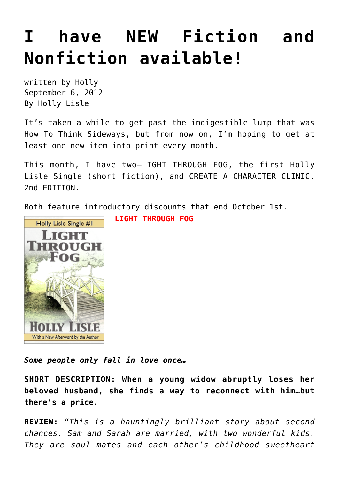# **[I have NEW Fiction and](https://hollylisle.com/i-have-new-fiction-and-nonfiction-available/) [Nonfiction available!](https://hollylisle.com/i-have-new-fiction-and-nonfiction-available/)**

written by Holly September 6, 2012 [By Holly Lisle](https://hollylisle.com)

It's taken a while to get past the indigestible lump that was How To Think Sideways, but from now on, I'm hoping to get at least one new item into print every month.

This month, I have two—LIGHT THROUGH FOG, the first Holly Lisle Single (short fiction), and CREATE A CHARACTER CLINIC, 2nd EDITION.

Both feature introductory discounts that end October 1st.



**LIGHT THROUGH FOG**

*Some people only fall in love once…*

**SHORT DESCRIPTION: When a young widow abruptly loses her beloved husband, she finds a way to reconnect with him…but there's a price.**

**REVIEW:** *"This is a hauntingly brilliant story about second chances. Sam and Sarah are married, with two wonderful kids. They are soul mates and each other's childhood sweetheart*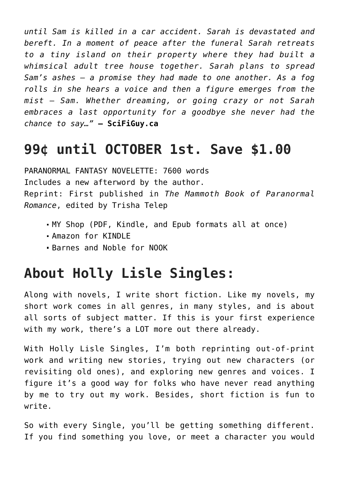*until Sam is killed in a car accident. Sarah is devastated and bereft. In a moment of peace after the funeral Sarah retreats to a tiny island on their property where they had built a whimsical adult tree house together. Sarah plans to spread Sam's ashes – a promise they had made to one another. As a fog rolls in she hears a voice and then a figure emerges from the mist – Sam. Whether dreaming, or going crazy or not Sarah embraces a last opportunity for a goodbye she never had the chance to say…"* **— SciFiGuy.ca**

## **99¢ until OCTOBER 1st. Save \$1.00**

PARANORMAL FANTASY NOVELETTE: 7600 words Includes a new afterword by the author. Reprint: First published in *The Mammoth Book of Paranormal Romance*, edited by Trisha Telep

- [MY Shop](http://howtothinksideways.com/light-through-fog-holly-lisle-singles-1/) (PDF, Kindle, and Epub formats all at once)
- [Amazon for KINDLE](http://www.amazon.com/dp/B0096F4HY0)
- [Barnes and Noble for NOOK](http://www.barnesandnoble.com/w/light-through-fog-holly-lisle/1112755559?ean=2940015125344)

### **About Holly Lisle Singles:**

Along with novels, I write short fiction. Like my novels, my short work comes in all genres, in many styles, and is about all sorts of subject matter. If this is your first experience with my work, there's a LOT more out there already.

With Holly Lisle Singles, I'm both reprinting out-of-print work and writing new stories, trying out new characters (or revisiting old ones), and exploring new genres and voices. I figure it's a good way for folks who have never read anything by me to try out my work. Besides, short fiction is fun to write.

So with every Single, you'll be getting something different. If you find something you love, or meet a character you would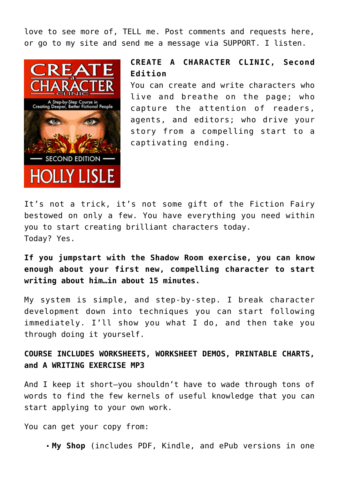love to see more of, TELL me. Post comments and requests here, or go to my site and send me a message via SUPPORT. I listen.



#### **CREATE A CHARACTER CLINIC, Second Edition**

You can create and write characters who live and breathe on the page; who capture the attention of readers, agents, and editors; who drive your story from a compelling start to a captivating ending.

It's not a trick, it's not some gift of the Fiction Fairy bestowed on only a few. You have everything you need within you to start creating brilliant characters today. Today? Yes.

**If you jumpstart with the Shadow Room exercise, you can know enough about your first new, compelling character to start writing about him…in about 15 minutes.**

My system is simple, and step-by-step. I break character development down into techniques you can start following immediately. I'll show you what I do, and then take you through doing it yourself.

### **COURSE INCLUDES WORKSHEETS, WORKSHEET DEMOS, PRINTABLE CHARTS, and A WRITING EXERCISE MP3**

And I keep it short—you shouldn't have to wade through tons of words to find the few kernels of useful knowledge that you can start applying to your own work.

You can get your copy from:

**[My Shop](http://howtothinksideways.com/create-a-character-clinic/)** (includes PDF, Kindle, and ePub versions in one